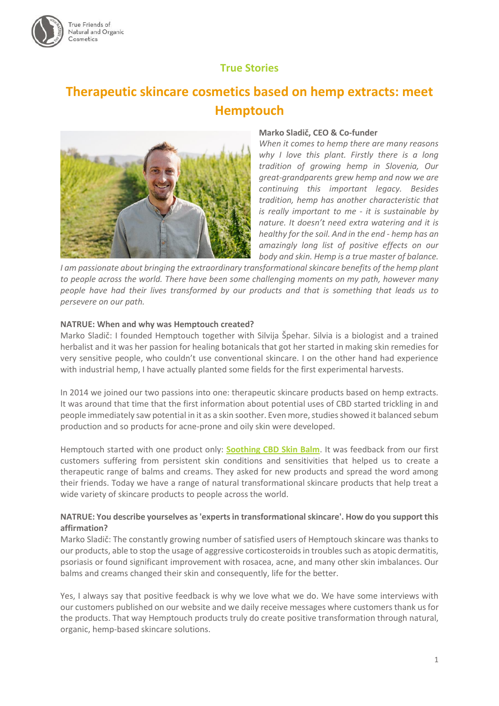

# **True Stories**

# **Therapeutic skincare cosmetics based on hemp extracts: meet Hemptouch**



#### **Marko Sladič, CEO & Co-funder**

*When it comes to hemp there are many reasons why I love this plant. Firstly there is a long tradition of growing hemp in Slovenia, Our great-grandparents grew hemp and now we are continuing this important legacy. Besides tradition, hemp has another characteristic that is really important to me - it is sustainable by nature. It doesn't need extra watering and it is healthy for the soil. And in the end - hemp has an amazingly long list of positive effects on our body and skin. Hemp is a true master of balance.* 

*I am passionate about bringing the extraordinary transformational skincare benefits of the hemp plant to people across the world. There have been some challenging moments on my path, however many people have had their lives transformed by our products and that is something that leads us to persevere on our path.*

#### **NATRUE: When and why was Hemptouch created?**

Marko Sladič: I founded Hemptouch together with Silvija Špehar. Silvia is a biologist and a trained herbalist and it was her passion for healing botanicals that got her started in making skin remedies for very sensitive people, who couldn't use conventional skincare. I on the other hand had experience with industrial hemp, I have actually planted some fields for the first experimental harvests.

In 2014 we joined our two passions into one: therapeutic skincare products based on hemp extracts. It was around that time that the first information about potential uses of CBD started trickling in and people immediately saw potential in it as a skin soother. Even more, studies showed it balanced sebum production and so products for acne-prone and oily skin were developed.

Hemptouch started with one product only: **[Soothing CBD Skin Balm](https://www.hemptouch.com/soothing-cbd-skin-balm)**. It was feedback from our first customers suffering from persistent skin conditions and sensitivities that helped us to create a therapeutic range of balms and creams. They asked for new products and spread the word among their friends. Today we have a range of natural transformational skincare products that help treat a wide variety of skincare products to people across the world.

#### **NATRUE: You describe yourselves as 'experts in transformational skincare'. How do you support this affirmation?**

Marko Sladič: The constantly growing number of satisfied users of Hemptouch skincare was thanks to our products, able to stop the usage of aggressive corticosteroids in troubles such as atopic dermatitis, psoriasis or found significant improvement with rosacea, acne, and many other skin imbalances. Our balms and creams changed their skin and consequently, life for the better.

Yes, I always say that positive feedback is why we love what we do. We have some interviews with our customers published on our website and we daily receive messages where customers thank us for the products. That way Hemptouch products truly do create positive transformation through natural, organic, hemp-based skincare solutions.